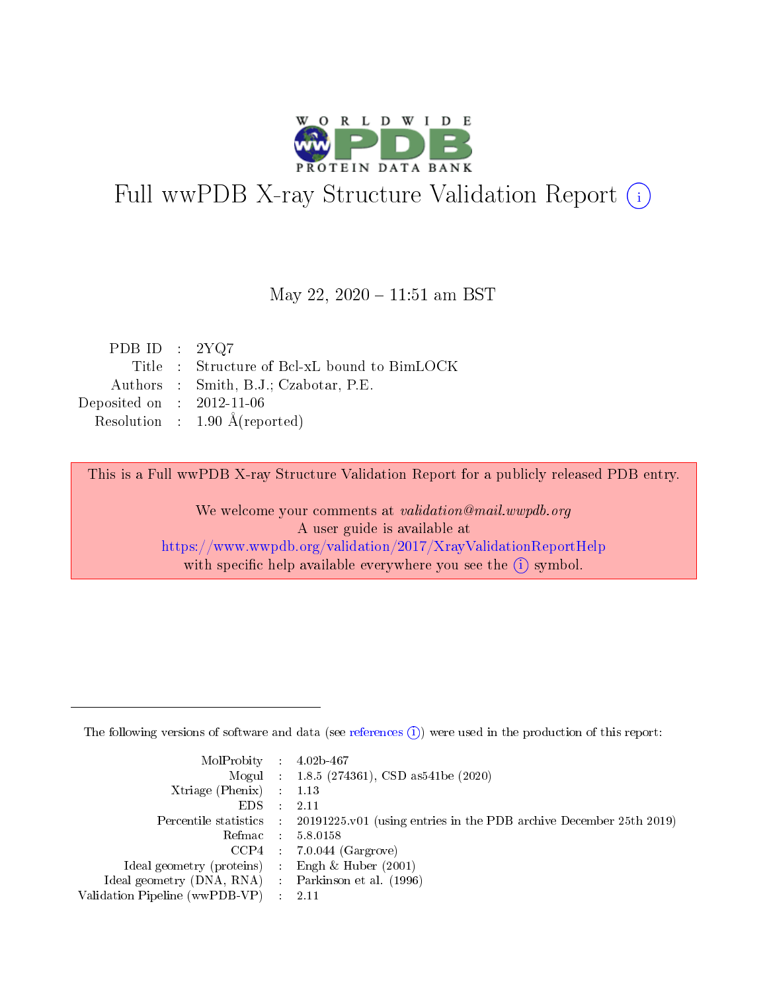

# Full wwPDB X-ray Structure Validation Report (i)

#### May 22, 2020 - 11:51 am BST

| PDB ID : $2YQ7$             |                                              |
|-----------------------------|----------------------------------------------|
|                             | Title : Structure of Bcl-xL bound to BimLOCK |
|                             | Authors : Smith, B.J.; Czabotar, P.E.        |
| Deposited on : $2012-11-06$ |                                              |
|                             | Resolution : $1.90 \text{ Å}$ (reported)     |

This is a Full wwPDB X-ray Structure Validation Report for a publicly released PDB entry.

We welcome your comments at validation@mail.wwpdb.org A user guide is available at <https://www.wwpdb.org/validation/2017/XrayValidationReportHelp> with specific help available everywhere you see the  $(i)$  symbol.

The following versions of software and data (see [references](https://www.wwpdb.org/validation/2017/XrayValidationReportHelp#references)  $(1)$ ) were used in the production of this report:

| $MolProbability$ : 4.02b-467                        |                                                                                              |
|-----------------------------------------------------|----------------------------------------------------------------------------------------------|
|                                                     | Mogul : 1.8.5 (274361), CSD as 541 be (2020)                                                 |
| Xtriage (Phenix) $: 1.13$                           |                                                                                              |
| $EDS$ :                                             | -2.11                                                                                        |
|                                                     | Percentile statistics : $20191225.v01$ (using entries in the PDB archive December 25th 2019) |
| Refmac : 5.8.0158                                   |                                                                                              |
|                                                     | $CCP4$ : 7.0.044 (Gargrove)                                                                  |
| Ideal geometry (proteins) :                         | Engh $\&$ Huber (2001)                                                                       |
| Ideal geometry (DNA, RNA) : Parkinson et al. (1996) |                                                                                              |
| Validation Pipeline (wwPDB-VP) : 2.11               |                                                                                              |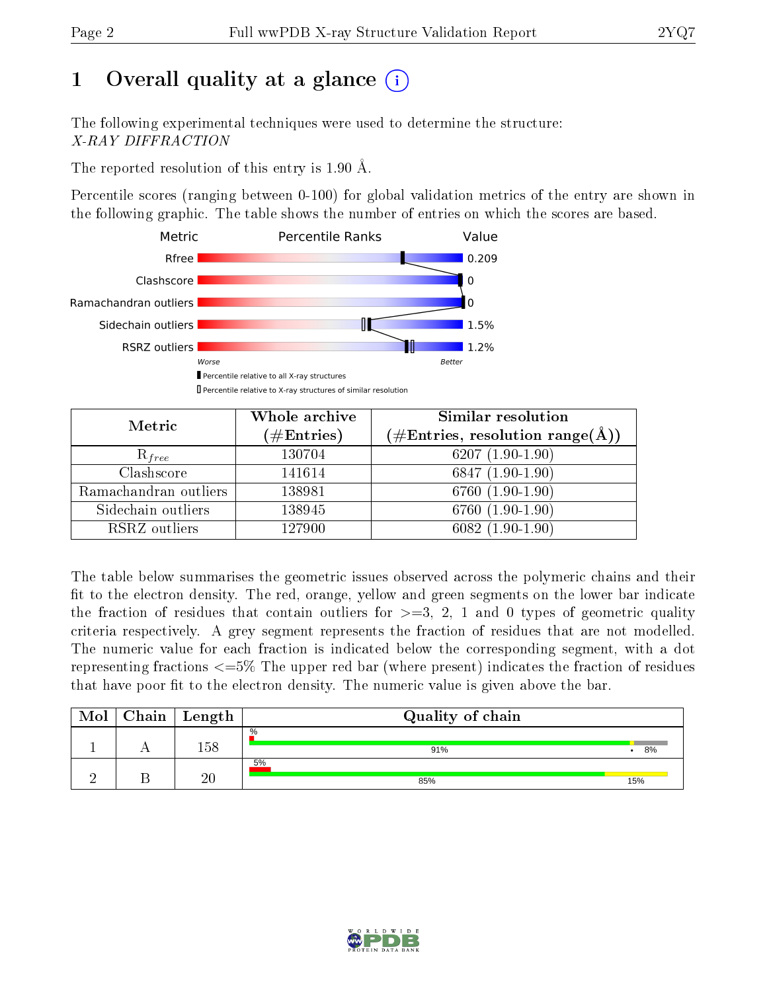# 1 [O](https://www.wwpdb.org/validation/2017/XrayValidationReportHelp#overall_quality)verall quality at a glance  $(i)$

The following experimental techniques were used to determine the structure: X-RAY DIFFRACTION

The reported resolution of this entry is 1.90 Å.

Percentile scores (ranging between 0-100) for global validation metrics of the entry are shown in the following graphic. The table shows the number of entries on which the scores are based.



| Metric                | Whole archive<br>$(\#\mathrm{Entries})$ | Similar resolution<br>$(\#\text{Entries}, \text{resolution range}(\AA))$ |
|-----------------------|-----------------------------------------|--------------------------------------------------------------------------|
| $R_{free}$            | 130704                                  | 6207 $(1.90-1.90)$                                                       |
| Clashscore            | 141614                                  | 6847 (1.90-1.90)                                                         |
| Ramachandran outliers | 138981                                  | 6760 (1.90-1.90)                                                         |
| Sidechain outliers    | 138945                                  | 6760 (1.90-1.90)                                                         |
| RSRZ outliers         | 127900                                  | $6082(1.90-1.90)$                                                        |

The table below summarises the geometric issues observed across the polymeric chains and their fit to the electron density. The red, orange, yellow and green segments on the lower bar indicate the fraction of residues that contain outliers for  $>=3, 2, 1$  and 0 types of geometric quality criteria respectively. A grey segment represents the fraction of residues that are not modelled. The numeric value for each fraction is indicated below the corresponding segment, with a dot representing fractions <=5% The upper red bar (where present) indicates the fraction of residues that have poor fit to the electron density. The numeric value is given above the bar.

| Mol | ${\rm Chain \mid Length}$ | Quality of chain     |     |  |  |  |  |
|-----|---------------------------|----------------------|-----|--|--|--|--|
|     | 158                       | $\frac{0}{0}$<br>91% | 8%  |  |  |  |  |
|     | $\overline{20}$           | 5%<br>85%            | 15% |  |  |  |  |

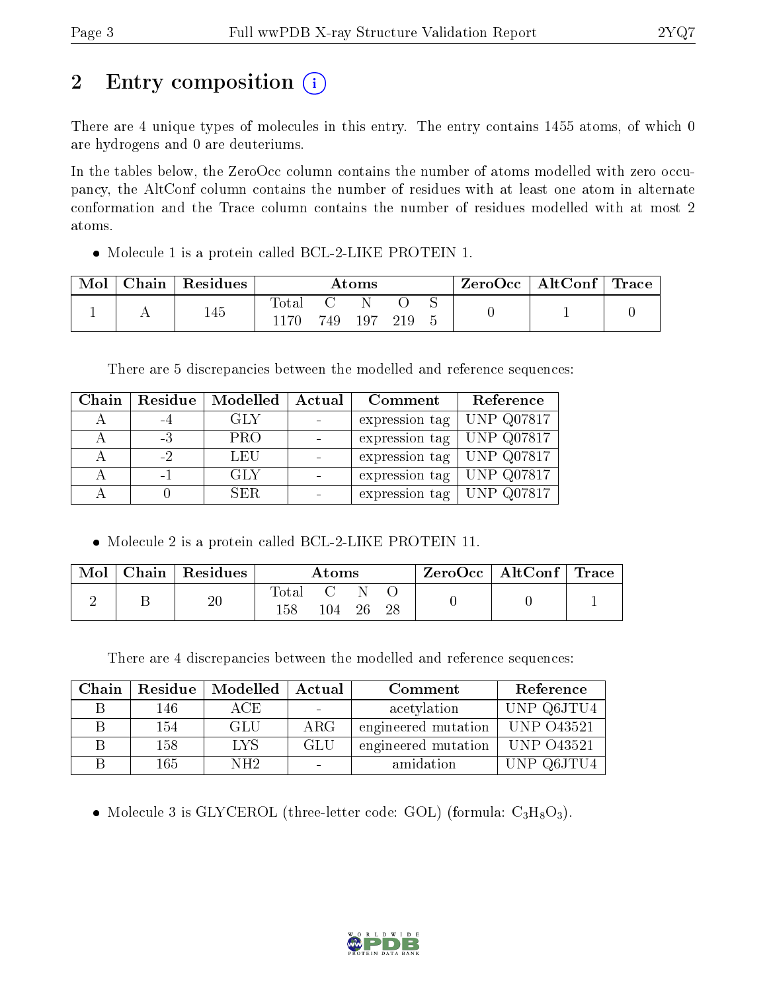# 2 Entry composition  $\left( \cdot \right)$

There are 4 unique types of molecules in this entry. The entry contains 1455 atoms, of which 0 are hydrogens and 0 are deuteriums.

In the tables below, the ZeroOcc column contains the number of atoms modelled with zero occupancy, the AltConf column contains the number of residues with at least one atom in alternate conformation and the Trace column contains the number of residues modelled with at most 2 atoms.

Molecule 1 is a protein called BCL-2-LIKE PROTEIN 1.

| Mol | ${\rm Chain}$ | <sup>'</sup> Residues | Atoms |       |     | ZeroOcc   AltConf   Trace |  |  |  |
|-----|---------------|-----------------------|-------|-------|-----|---------------------------|--|--|--|
|     |               | 145                   | 'ota. | 749 - | 197 |                           |  |  |  |

There are 5 discrepancies between the modelled and reference sequences:

| Chain | Residue | Modelled   | Actual<br>Comment |                | Reference         |
|-------|---------|------------|-------------------|----------------|-------------------|
|       |         | GLY        |                   | expression tag | <b>UNP Q07817</b> |
|       | $-3$    | <b>PRO</b> |                   | expression tag | <b>UNP Q07817</b> |
|       | -2      | LEU        |                   | expression tag | UNP Q07817        |
|       | $-1$    | GLY        |                   | expression tag | <b>UNP Q07817</b> |
|       |         | SER.       |                   | expression tag | <b>UNP Q07817</b> |

• Molecule 2 is a protein called BCL-2-LIKE PROTEIN 11.

| Mol | $\,$ Chain   Residues | $\rm{Atoms}$           |     |    | $\text{ZeroOcc} \mid \text{AltConf} \mid \text{Trace}$ |  |  |
|-----|-----------------------|------------------------|-----|----|--------------------------------------------------------|--|--|
|     | 20                    | $\rm Total$<br>$158\,$ | 104 | 26 |                                                        |  |  |

There are 4 discrepancies between the modelled and reference sequences:

| Chain | Residue | Modelled | Actual     | Comment             | Reference  |
|-------|---------|----------|------------|---------------------|------------|
| R     | 146     | ACE.     |            | acetylation         | UNP Q6JTU4 |
|       | 154     | GLU      | $\rm{ARG}$ | engineered mutation | UNP 043521 |
|       | 158     | LYS      | GLU        | engineered mutation | UNP 043521 |
|       | 165     | NH2.     |            | amidation           | UNP Q6JTU4 |

• Molecule 3 is GLYCEROL (three-letter code: GOL) (formula:  $C_3H_8O_3$ ).

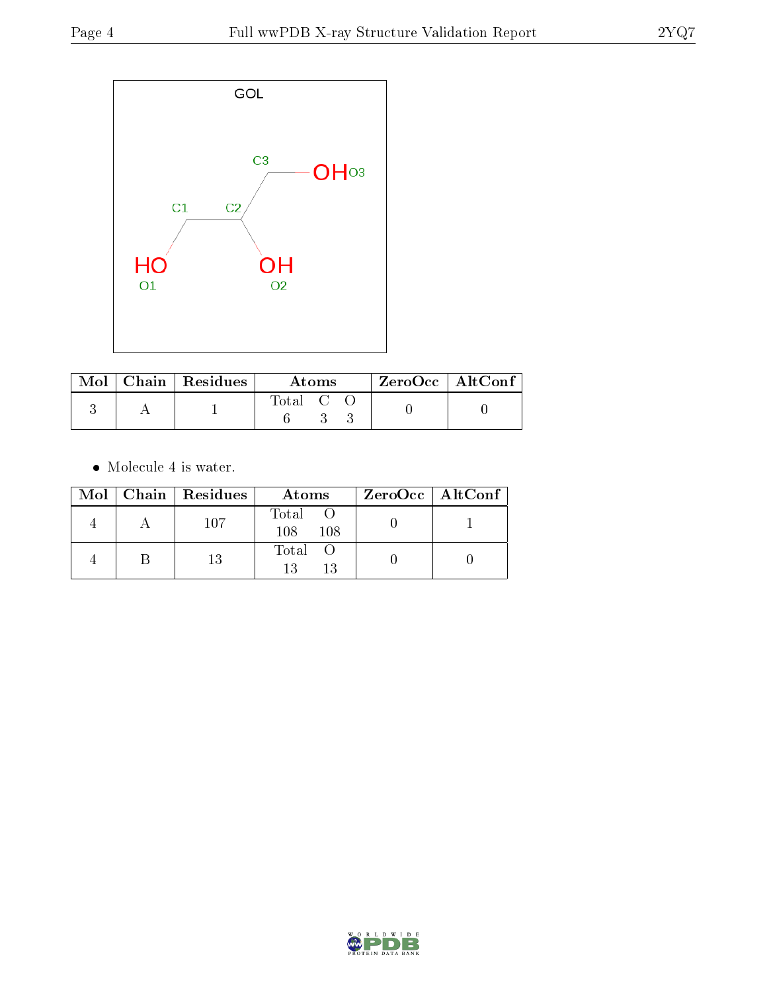

|  | $\text{Mol}$   Chain   Residues | Atoms   |  |  | $\rm ZeroOcc \mid AltConf$ |  |
|--|---------------------------------|---------|--|--|----------------------------|--|
|  |                                 | Total C |  |  |                            |  |

 $\bullet\,$  Molecule 4 is water.

|  | Mol   Chain   Residues | Atoms               | $ZeroOcc \   \ AltConf \  $ |
|--|------------------------|---------------------|-----------------------------|
|  | 107                    | Total<br>108<br>108 |                             |
|  | 13                     | Total O<br>13<br>13 |                             |

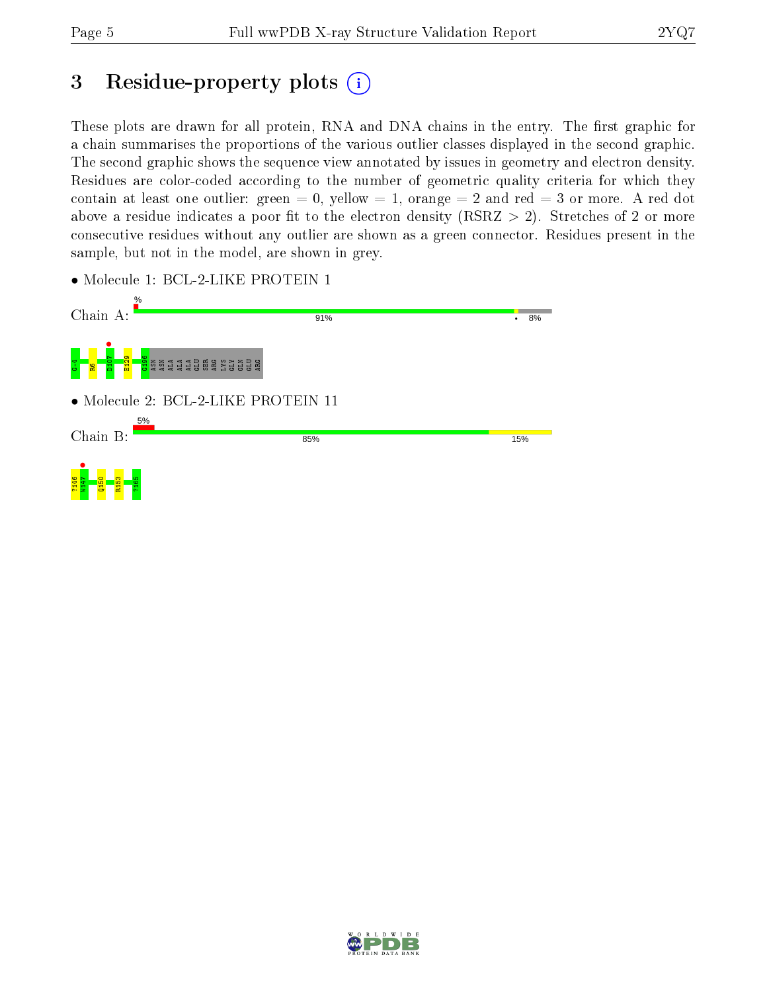# 3 Residue-property plots  $(i)$

These plots are drawn for all protein, RNA and DNA chains in the entry. The first graphic for a chain summarises the proportions of the various outlier classes displayed in the second graphic. The second graphic shows the sequence view annotated by issues in geometry and electron density. Residues are color-coded according to the number of geometric quality criteria for which they contain at least one outlier: green  $= 0$ , yellow  $= 1$ , orange  $= 2$  and red  $= 3$  or more. A red dot above a residue indicates a poor fit to the electron density (RSRZ  $> 2$ ). Stretches of 2 or more consecutive residues without any outlier are shown as a green connector. Residues present in the sample, but not in the model, are shown in grey.

• Molecule 1: BCL-2-LIKE PROTEIN 1



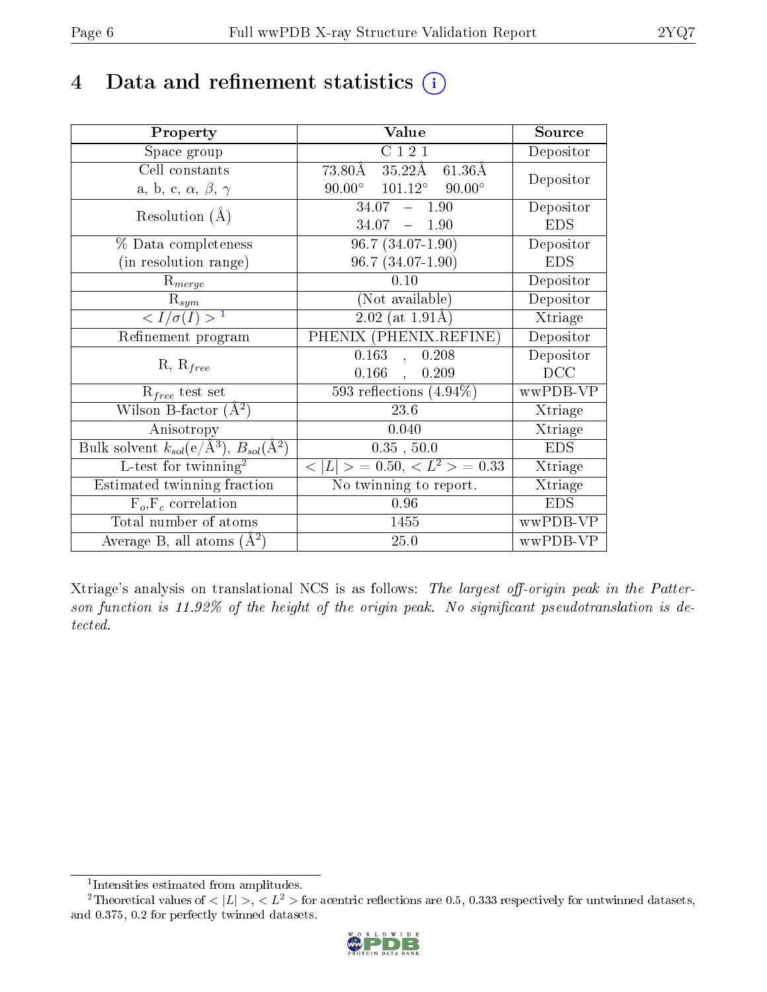## 4 Data and refinement statistics  $(i)$

| Property                                                   | Value                                             | Source     |
|------------------------------------------------------------|---------------------------------------------------|------------|
| Space group                                                | C121                                              | Depositor  |
| Cell constants                                             | 73.80Å 35.22Å<br>$61.36\text{\AA}$                | Depositor  |
| a, b, c, $\alpha$ , $\beta$ , $\gamma$                     | $90.00^{\circ}$ $101.12^{\circ}$<br>$90.00^\circ$ |            |
| Resolution $(A)$                                           | $34.07 - 1.90$                                    | Depositor  |
|                                                            | $34.07 - 1.90$                                    | <b>EDS</b> |
| $\%$ Data completeness                                     | $\overline{96.7}$ $(34.07 - 1.90)$                | Depositor  |
| (in resolution range)                                      | 96.7 (34.07-1.90)                                 | <b>EDS</b> |
| $R_{merge}$                                                | 0.10                                              | Depositor  |
| $\mathrm{R}_{sym}$                                         | (Not available)                                   | Depositor  |
| $\langle I/\sigma(I) \rangle^{-1}$                         | $2.02$ (at 1.91Å)                                 | Xtriage    |
| Refinement program                                         | PHENIX (PHENIX.REFINE)                            | Depositor  |
|                                                            | 0.163<br>0.208<br>$\mathbf{A}$                    | Depositor  |
| $R, R_{free}$                                              | $0.166$ ,<br>0.209                                | DCC        |
| $R_{free}$ test set                                        | $\overline{593}$ reflections $(4.94\%)$           | wwPDB-VP   |
| Wilson B-factor $(A^2)$                                    | 23.6                                              | Xtriage    |
| Anisotropy                                                 | 0.040                                             | Xtriage    |
| Bulk solvent $k_{sol}$ (e/Å <sup>3</sup> ), $B_{sol}(A^2)$ | $0.35$ , $50.0$                                   | <b>EDS</b> |
| L-test for $\mathrm{twinning}^2$                           | $< L >$ = 0.50, $< L2$ > = 0.33                   | Xtriage    |
| Estimated twinning fraction                                | No twinning to report.                            | Xtriage    |
| $\overline{F_o}, \overline{F_c}$ correlation               | 0.96                                              | <b>EDS</b> |
| Total number of atoms                                      | 1455                                              | wwPDB-VP   |
| Average B, all atoms $(A^2)$                               | 25.0                                              | wwPDB-VP   |

Xtriage's analysis on translational NCS is as follows: The largest off-origin peak in the Patterson function is  $11.92\%$  of the height of the origin peak. No significant pseudotranslation is detected.

<sup>&</sup>lt;sup>2</sup>Theoretical values of  $\langle |L| \rangle$ ,  $\langle L^2 \rangle$  for acentric reflections are 0.5, 0.333 respectively for untwinned datasets, and 0.375, 0.2 for perfectly twinned datasets.



<span id="page-5-1"></span><span id="page-5-0"></span><sup>1</sup> Intensities estimated from amplitudes.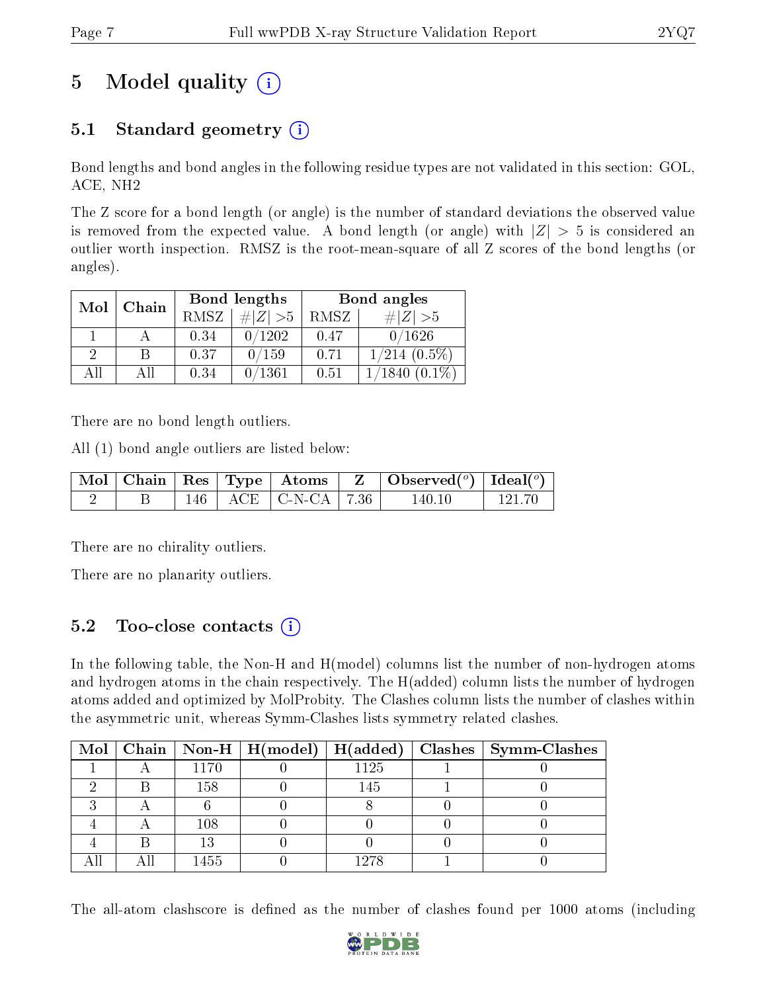# 5 Model quality  $(i)$

### 5.1 Standard geometry  $(i)$

Bond lengths and bond angles in the following residue types are not validated in this section: GOL, ACE, NH2

The Z score for a bond length (or angle) is the number of standard deviations the observed value is removed from the expected value. A bond length (or angle) with  $|Z| > 5$  is considered an outlier worth inspection. RMSZ is the root-mean-square of all Z scores of the bond lengths (or angles).

| Mol | Chain |      | Bond lengths | Bond angles |                    |  |
|-----|-------|------|--------------|-------------|--------------------|--|
|     |       | RMSZ | # $ Z  > 5$  | RMSZ        | $\# Z  > 5$        |  |
|     |       | 0.34 | 0/1202       | 0.47        | 0/1626             |  |
| 9   | В     | 0.37 | 0/159        | 0.71        | $1/214$ $(0.5\%)$  |  |
| AĦ  | АH    | 0.34 | 0/1361       | 0.51        | $(0.1\%)$<br>1840. |  |

There are no bond length outliers.

All (1) bond angle outliers are listed below:

|  |  |                                                              | $\vert$ Mol $\vert$ Chain $\vert$ Res $\vert$ Type $\vert$ Atoms $\vert$ Z $\vert$ Observed( <sup>o</sup> ) $\vert$ Ideal( <sup>o</sup> ) |          |
|--|--|--------------------------------------------------------------|-------------------------------------------------------------------------------------------------------------------------------------------|----------|
|  |  | $\overline{146}$ $\overline{ACE}$ $\overline{CEN-CA}$   7.36 | 140.10                                                                                                                                    | - 121.70 |

There are no chirality outliers.

There are no planarity outliers.

### 5.2 Too-close contacts (i)

In the following table, the Non-H and H(model) columns list the number of non-hydrogen atoms and hydrogen atoms in the chain respectively. The H(added) column lists the number of hydrogen atoms added and optimized by MolProbity. The Clashes column lists the number of clashes within the asymmetric unit, whereas Symm-Clashes lists symmetry related clashes.

|  |      |      | Mol   Chain   Non-H   H(model)   H(added)   Clashes   Symm-Clashes |
|--|------|------|--------------------------------------------------------------------|
|  | 1170 | 1125 |                                                                    |
|  | 158  | 145  |                                                                    |
|  |      |      |                                                                    |
|  | 108  |      |                                                                    |
|  |      |      |                                                                    |
|  | 1455 | 1978 |                                                                    |

The all-atom clashscore is defined as the number of clashes found per 1000 atoms (including

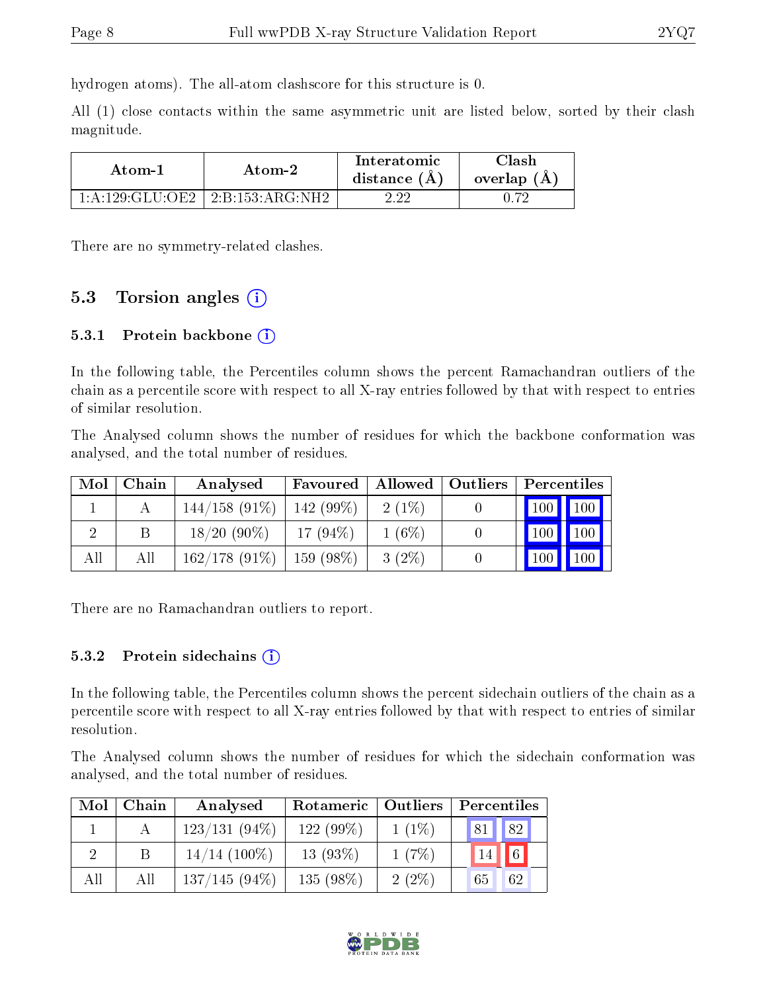hydrogen atoms). The all-atom clashscore for this structure is 0.

All (1) close contacts within the same asymmetric unit are listed below, sorted by their clash magnitude.

| Atom-1             | Atom-2                    |  | 7lash<br>overlap (A) |  |
|--------------------|---------------------------|--|----------------------|--|
| $1:$ A:129:GLU:OE2 | $^+$ 2:B:153:ARG:NH2 $^-$ |  |                      |  |

There are no symmetry-related clashes.

### 5.3 Torsion angles (i)

#### 5.3.1 Protein backbone  $(i)$

In the following table, the Percentiles column shows the percent Ramachandran outliers of the chain as a percentile score with respect to all X-ray entries followed by that with respect to entries of similar resolution.

The Analysed column shows the number of residues for which the backbone conformation was analysed, and the total number of residues.

| Mol | Chain | Analysed        | Favoured    | Allowed   Outliers | Percentiles       |
|-----|-------|-----------------|-------------|--------------------|-------------------|
|     |       | $144/158(91\%)$ | $142(99\%)$ | $2(1\%)$           | $100$   $100$     |
|     | В     | $18/20(90\%)$   | $17(94\%)$  | $1(6\%)$           | $100 \mid$<br>100 |
| All | Αll   | $162/178(91\%)$ | $159(98\%)$ | $3(2\%)$           | 100 <sup>1</sup>  |

There are no Ramachandran outliers to report.

#### 5.3.2 Protein sidechains  $(i)$

In the following table, the Percentiles column shows the percent sidechain outliers of the chain as a percentile score with respect to all X-ray entries followed by that with respect to entries of similar resolution.

The Analysed column shows the number of residues for which the sidechain conformation was analysed, and the total number of residues.

| Mol | Chain | Analysed        | Rotameric   Outliers |          | Percentiles      |  |  |
|-----|-------|-----------------|----------------------|----------|------------------|--|--|
|     |       | $123/131(94\%)$ | $122(99\%)$          | $1(1\%)$ | 82<br>81         |  |  |
|     |       | $14/14$ (100\%) | $13(93\%)$           | 1(7%)    | $\sqrt{6}$<br>14 |  |  |
| All | Аll   | $137/145(94\%)$ | 135 $(98\%)$         | 2(2%)    | 62<br>65         |  |  |

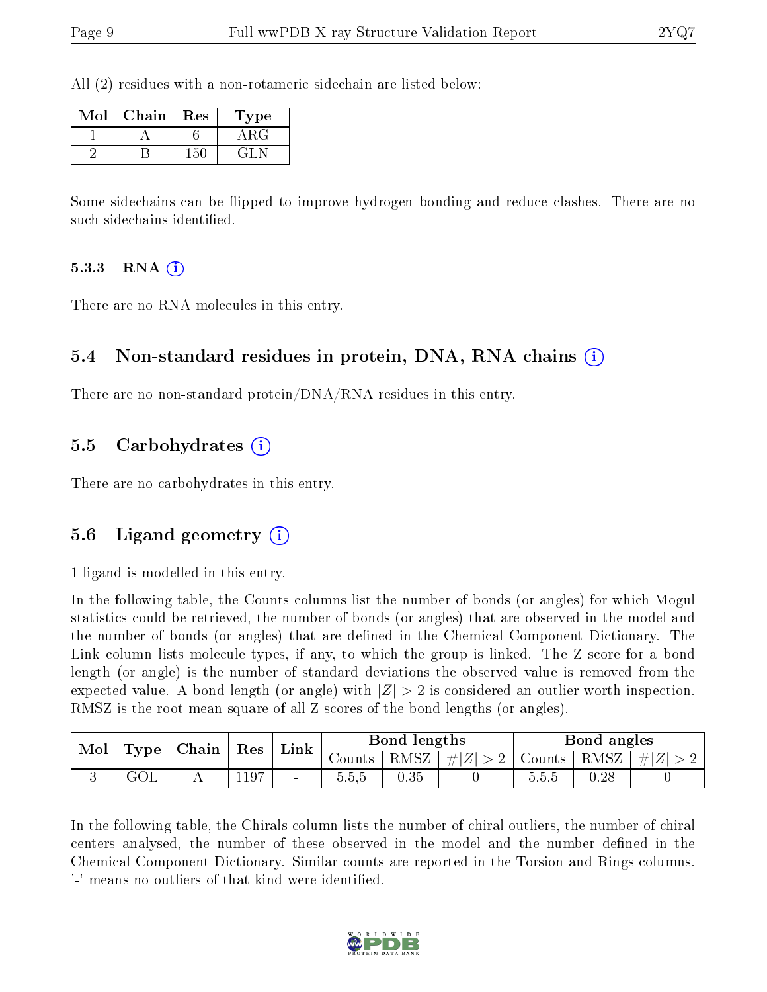All (2) residues with a non-rotameric sidechain are listed below:

| Mol | Chain | Res | Type      |
|-----|-------|-----|-----------|
|     |       |     | RG.       |
|     |       |     | $\pm 1$ . |

Some sidechains can be flipped to improve hydrogen bonding and reduce clashes. There are no such sidechains identified.

#### 5.3.3 RNA  $(i)$

There are no RNA molecules in this entry.

#### 5.4 Non-standard residues in protein, DNA, RNA chains (i)

There are no non-standard protein/DNA/RNA residues in this entry.

#### 5.5 Carbohydrates (i)

There are no carbohydrates in this entry.

#### 5.6 Ligand geometry (i)

1 ligand is modelled in this entry.

In the following table, the Counts columns list the number of bonds (or angles) for which Mogul statistics could be retrieved, the number of bonds (or angles) that are observed in the model and the number of bonds (or angles) that are defined in the Chemical Component Dictionary. The Link column lists molecule types, if any, to which the group is linked. The Z score for a bond length (or angle) is the number of standard deviations the observed value is removed from the expected value. A bond length (or angle) with  $|Z| > 2$  is considered an outlier worth inspection. RMSZ is the root-mean-square of all Z scores of the bond lengths (or angles).

| Mol |      | Chain | Res  | Link | Bond lengths |               |         | Bond angles             |      |           |
|-----|------|-------|------|------|--------------|---------------|---------|-------------------------|------|-----------|
|     | Type |       |      |      |              | Counts   RMSZ | $\# Z $ | $1 > 2$   Counts   RMSZ |      | $\pm  Z $ |
|     | uvr  |       | 1197 | $\,$ | 5,5,5        | 0.35          |         | 0.5.5                   | 0.28 |           |

In the following table, the Chirals column lists the number of chiral outliers, the number of chiral centers analysed, the number of these observed in the model and the number defined in the Chemical Component Dictionary. Similar counts are reported in the Torsion and Rings columns. '-' means no outliers of that kind were identified.

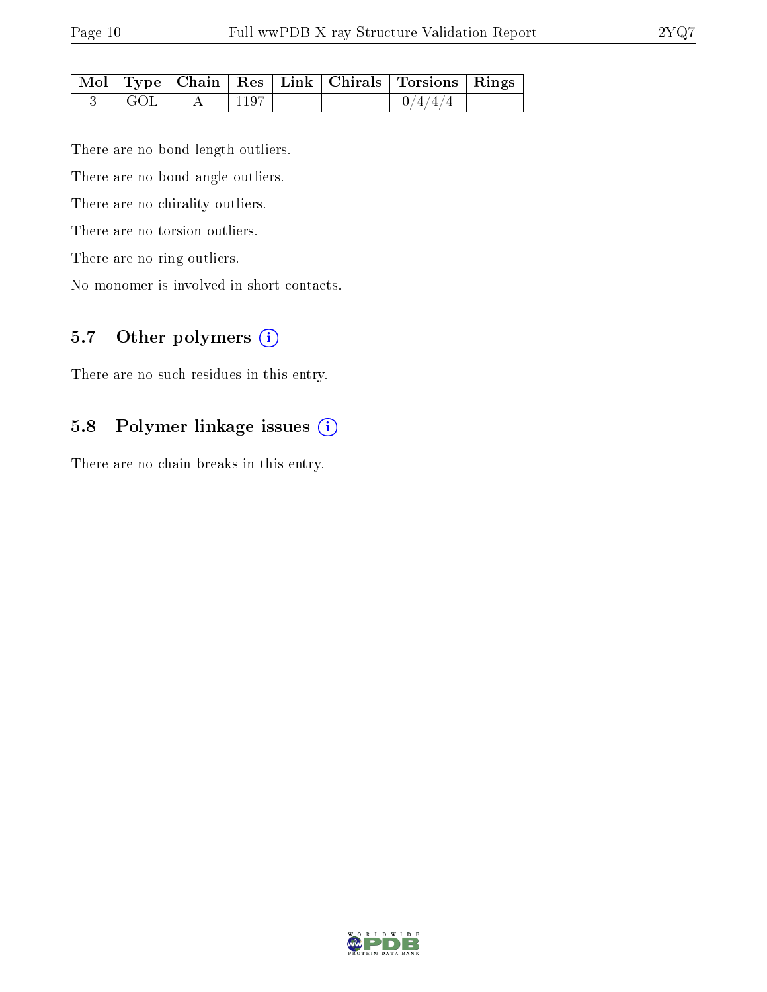|            |                        |  | Mol   Type   Chain   Res   Link   Chirals   Torsions   Rings |  |
|------------|------------------------|--|--------------------------------------------------------------|--|
| $\Box$ GOL | $\sim$ 1197 $^{\circ}$ |  | 0/4/4/4                                                      |  |

There are no bond length outliers.

There are no bond angle outliers.

There are no chirality outliers.

There are no torsion outliers.

There are no ring outliers.

No monomer is involved in short contacts.

## 5.7 [O](https://www.wwpdb.org/validation/2017/XrayValidationReportHelp#nonstandard_residues_and_ligands)ther polymers (i)

There are no such residues in this entry.

#### 5.8 Polymer linkage issues (i)

There are no chain breaks in this entry.

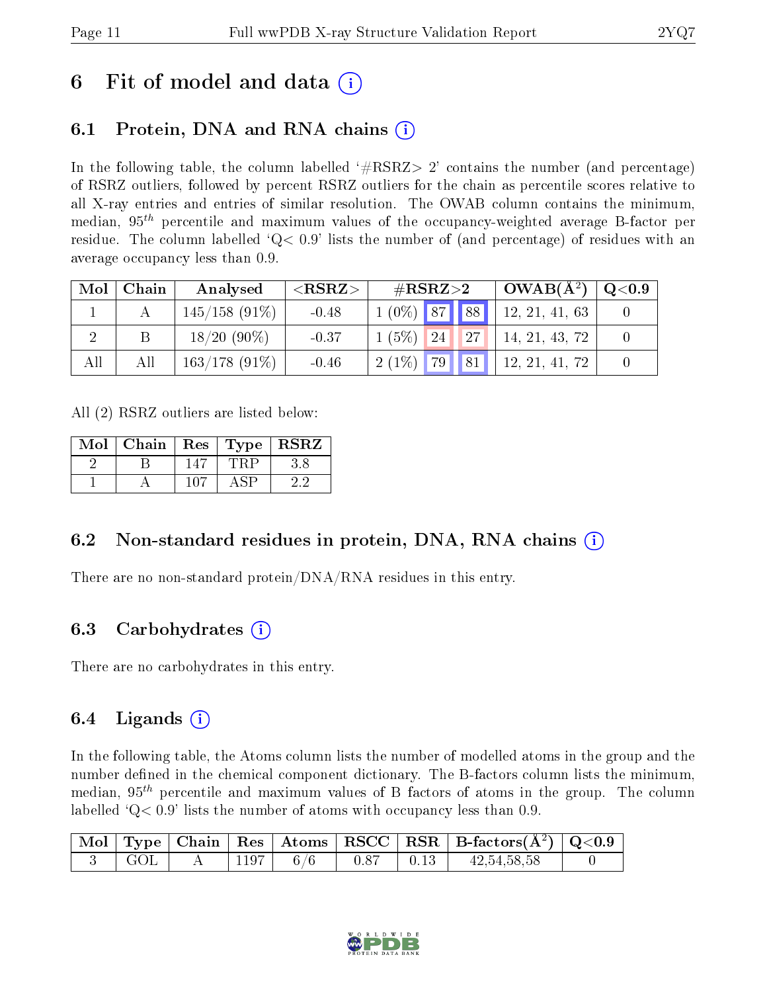## 6 Fit of model and data  $\left( \cdot \right)$

### 6.1 Protein, DNA and RNA chains (i)

In the following table, the column labelled  $#RSRZ>2'$  contains the number (and percentage) of RSRZ outliers, followed by percent RSRZ outliers for the chain as percentile scores relative to all X-ray entries and entries of similar resolution. The OWAB column contains the minimum, median,  $95<sup>th</sup>$  percentile and maximum values of the occupancy-weighted average B-factor per residue. The column labelled  $Q < 0.9$  lists the number of (and percentage) of residues with an average occupancy less than 0.9.

| Mol | Chain | Analysed         | ${ <\hspace{-1.5pt}{\mathrm{RSRZ}} \hspace{-1.5pt}>}$ | $\#\text{RSRZ}\text{>2}$ | $OWAB(A^2)$    | $\rm Q\textcolor{black}{<}0.9$ |
|-----|-------|------------------|-------------------------------------------------------|--------------------------|----------------|--------------------------------|
|     |       | $145/158$ (91\%) | $-0.48$                                               | $1(0\%)$ 87 88           | 12, 21, 41, 63 |                                |
|     |       | $18/20(90\%)$    | $-0.37$                                               | $1(5\%)$ 24 27           | 14, 21, 43, 72 |                                |
| All | All   | $163/178(91\%)$  | $-0.46$                                               | 79   81  <br>$2(1\%)$    | 12, 21, 41, 72 |                                |

All (2) RSRZ outliers are listed below:

| Mol | Chain | $\mid$ Res |                           | Type   RSRZ |
|-----|-------|------------|---------------------------|-------------|
|     |       |            |                           |             |
|     |       | 107        | $\mathbb{C}^{\mathbf{D}}$ |             |

### 6.2 Non-standard residues in protein, DNA, RNA chains  $(i)$

There are no non-standard protein/DNA/RNA residues in this entry.

#### 6.3 Carbohydrates (i)

There are no carbohydrates in this entry.

#### 6.4 Ligands  $(i)$

In the following table, the Atoms column lists the number of modelled atoms in the group and the number defined in the chemical component dictionary. The B-factors column lists the minimum, median,  $95<sup>th</sup>$  percentile and maximum values of B factors of atoms in the group. The column labelled  $Q< 0.9$ ' lists the number of atoms with occupancy less than 0.9.

|             |                     |     |      |                                                                        | $\boxed{\text{ Mol}}$ Type   Chain   Res   Atoms   RSCC   RSR   B-factors $(\AA^2)$   Q<0.9 |  |
|-------------|---------------------|-----|------|------------------------------------------------------------------------|---------------------------------------------------------------------------------------------|--|
| $\perp$ GOL | $\therefore$   1197 | 6/6 | 0.87 | $\begin{array}{ccc} \begin{array}{ccc} \end{array} & 0.13 \end{array}$ | 42, 54, 58, 58                                                                              |  |